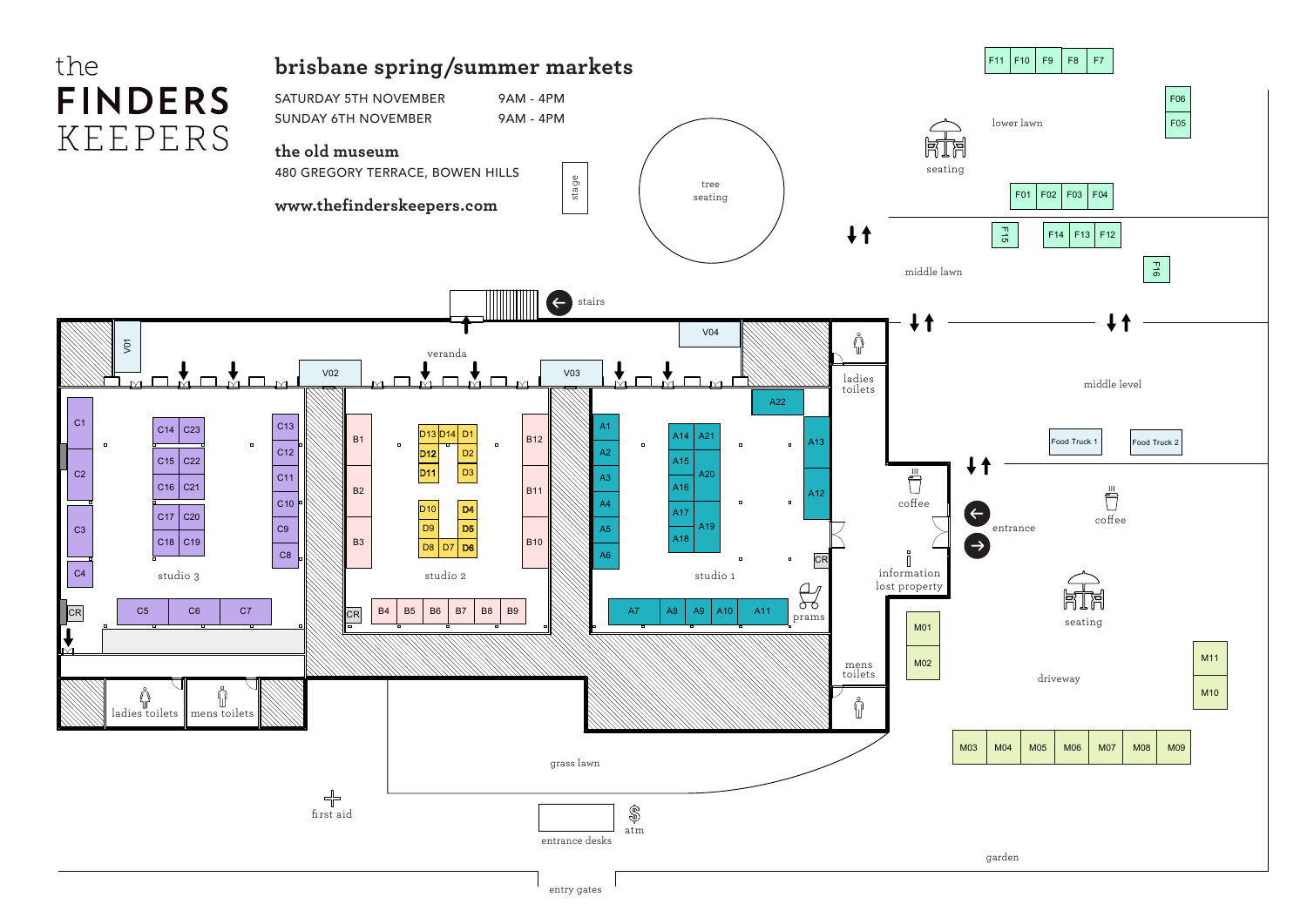